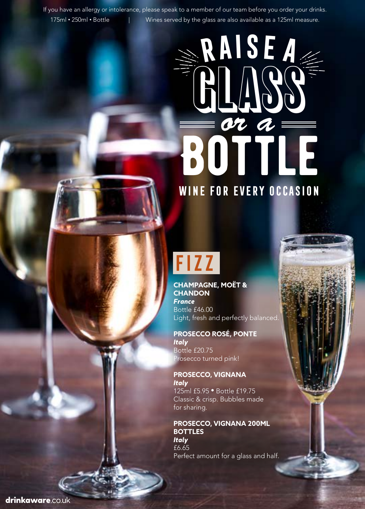If you have an allergy or intolerance, please speak to a member of our team before you order your drinks. 175ml • 250ml • Bottle | Wines served by the glass are also available as a 125ml measure.

# **BOTTLE Raisea** GLASS *or a* **Wine for every occasion**

## **Fizz**

**CHAMPAGNE, MOËT & CHANDON**  *France* Bottle £46.00 Light, fresh and perfectly balanced.

**PROSECCO ROSÉ, PONTE** *Italy* Bottle £20.75 Prosecco turned pink!

**PROSECCO, VIGNANA** *Italy*  125ml £5.95 • Bottle £19.75 Classic & crisp. Bubbles made for sharing.

**PROSECCO, VIGNANA 200ML BOTTLES** *Italy*  £6.65 Perfect amount for a glass and half.